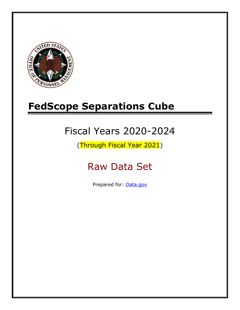

# **FedScope Separations Cube**

# Fiscal Years 2020-2024

(Through Fiscal Year 2021)

# Raw Data Set

Prepared for: [Data.gov](http://www.data.gov/)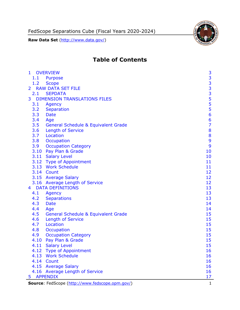FedScope Separations Cube (Fiscal Years 2020-2024)

**Raw Data Set** (http://www.data.gov/)



# **Table of Contents**

| $\mathbf{1}$   | <b>OVERVIEW</b>                                 | 3              |
|----------------|-------------------------------------------------|----------------|
| 1.1            | Purpose                                         |                |
| 1.2            | <b>Scope</b>                                    |                |
| $\overline{2}$ | <b>RAW DATA SET FILE</b>                        |                |
| 2.1            | <b>SEPDATA</b>                                  |                |
| 3              | <b>DIMENSION TRANSLATIONS FILES</b>             |                |
| 3.1            | Agency                                          |                |
| 3.2            | Separation                                      |                |
| 3.3            | <b>Date</b>                                     | 33335556       |
| 3.4            | Age                                             | $\overline{6}$ |
| 3.5            | General Schedule & Equivalent Grade             | $\overline{7}$ |
| 3.6            | <b>Length of Service</b>                        | 8              |
| 3.7            | Location                                        | 8              |
| 3.8            | Occupation                                      | 9              |
| 3.9            | <b>Occupation Category</b>                      | 9              |
| 3.10           | Pay Plan & Grade                                | 10             |
|                | 3.11 Salary Level                               | 10             |
|                | 3.12 Type of Appointment                        | 11             |
|                | 3.13 Work Schedule                              | 11             |
|                | 3.14 Count                                      | 12             |
|                | 3.15 Average Salary                             | 12             |
|                | 3.16 Average Length of Service                  | 12             |
| $4 -$          | <b>DATA DEFINITIONS</b>                         | 13             |
| 4.1            | Agency                                          | 13             |
| 4.2            | <b>Separations</b>                              | 13             |
| 4.3            | <b>Date</b>                                     | 14             |
| 4.4            | Age                                             | 14             |
| 4.5            | <b>General Schedule &amp; Equivalent Grade</b>  | 15             |
| 4.6            | <b>Length of Service</b>                        | 15             |
| 4.7            | Location                                        | 15             |
| 4.8            | Occupation                                      | 15             |
| 4.9            | <b>Occupation Category</b>                      | 15             |
| 4.10           | Pay Plan & Grade                                | 15             |
|                | 4.11 Salary Level                               | 15             |
|                | 4.12 Type of Appointment                        | 16             |
|                | 4.13 Work Schedule                              | 16             |
|                | 4.14 Count                                      | 16             |
|                | 4.15 Average Salary                             | 16             |
|                | 4.16 Average Length of Service                  | 16             |
| 5              | <b>APPENDIX</b>                                 | 17             |
|                | Source: FedScope (http://www.fedscope.opm.gov/) | 1              |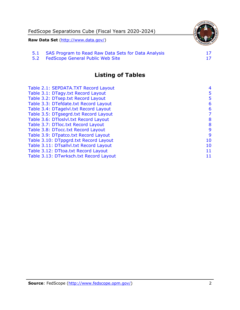

5.2 [FedScope General Public Web Site](#page-17-2)

# **Listing of Tables**

| Table 2.1: SEPDATA.TXT Record Layout   | $\overline{4}$ |
|----------------------------------------|----------------|
| Table 3.1: DTagy.txt Record Layout     | 5              |
| Table 3.2: DTsep.txt Record Layout     | 5              |
| Table 3.3: DTefdate.txt Record Layout  | 6              |
| Table 3.4: DTagelvl.txt Record Layout  | 6              |
| Table 3.5: DTgsegrd.txt Record Layout  | 7              |
| Table 3.6: DTloslvl.txt Record Layout  | 8              |
| Table 3.7: DTloc.txt Record Layout     | 8              |
| Table 3.8: DTocc.txt Record Layout     | 9              |
| Table 3.9: DTpatco.txt Record Layout   | 9              |
| Table 3.10: DTppgrd.txt Record Layout  | 10             |
| Table 3.11: DTsallvl.txt Record Layout | 10             |
| Table 3.12: DTtoa.txt Record Layout    | 11             |
| Table 3.13: DTwrksch.txt Record Layout | 11             |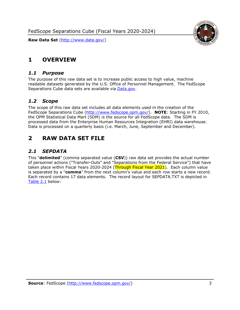FedScope Separations Cube (Fiscal Years 2020-2024)

**Raw Data Set** (http://www.data.gov/)



## <span id="page-3-0"></span>**1 OVERVIEW**

#### <span id="page-3-1"></span>*1.1 Purpose*

The purpose of this raw data set is to increase public access to high value, machine readable datasets generated by the U.S. Office of Personnel Management. The FedScope Separations Cube data sets are available via [Data.gov.](http://www.data.gov/)

#### <span id="page-3-2"></span>*1.2 Scope*

The scope of this raw data set includes all data elements used in the creation of the FedScope Separations Cube [\(http://www.fedscope.opm.gov/\)](http://www.fedscope.opm.gov/). **NOTE**: Starting in FY 2010, the OPM Statistical Data Mart (SDM) is the source for all FedScope data. The SDM is processed data from the Enterprise Human Resources Integration (EHRI) data warehouse. Data is processed on a quarterly basis (i.e. March, June, September and December).

## <span id="page-3-3"></span>**2 RAW DATA SET FILE**

### <span id="page-3-4"></span>*2.1 SEPDATA*

This "**delimited**" (comma separated value (**CSV**)) raw data set provides the actual number of personnel actions ("Transfer-Outs" and "Separations from the Federal Service") that have taken place within Fiscal Years 2020-2024 (Through Fiscal Year 2021). Each column value is separated by a "**comma**" from the next column's value and each row starts a new record. Each record contains 17 data elements. The record layout for SEPDATA.TXT is depicted in [Table 2.1](#page-4-0) below: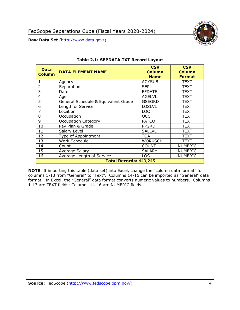

<span id="page-4-0"></span>

| <b>Data</b><br><b>Column</b> | <b>DATA ELEMENT NAME</b>            | <b>CSV</b><br><b>Column</b><br><b>Name</b> | <b>CSV</b><br><b>Column</b><br><b>Format</b> |
|------------------------------|-------------------------------------|--------------------------------------------|----------------------------------------------|
|                              | Agency                              | <b>AGYSUB</b>                              | <b>TEXT</b>                                  |
| 2                            | Separation                          | <b>SEP</b>                                 | <b>TEXT</b>                                  |
| 3                            | Date                                | <b>EFDATE</b>                              | <b>TEXT</b>                                  |
| 4                            | Age                                 | <b>AGELVL</b>                              | <b>TEXT</b>                                  |
| 5                            | General Schedule & Equivalent Grade | <b>GSEGRD</b>                              | <b>TEXT</b>                                  |
| 6                            | Length of Service                   | <b>LOSLVL</b>                              | <b>TEXT</b>                                  |
| 7                            | Location                            | <b>LOC</b>                                 | <b>TEXT</b>                                  |
| 8                            | Occupation                          | <b>OCC</b>                                 | <b>TEXT</b>                                  |
| 9                            | <b>Occupation Category</b>          | <b>PATCO</b>                               | <b>TEXT</b>                                  |
| 10                           | Pay Plan & Grade                    | <b>PPGRD</b>                               | TEXT                                         |
| 11                           | Salary Level                        | <b>SALLVL</b>                              | TEXT                                         |
| 12                           | Type of Appointment                 | <b>TOA</b>                                 | TEXT                                         |
| 13                           | Work Schedule                       | <b>WORKSCH</b>                             | <b>TEXT</b>                                  |
| 14                           | Count                               | <b>COUNT</b>                               | <b>NUMERIC</b>                               |
| 15                           | Average Salary                      | <b>SALARY</b>                              | <b>NUMERIC</b>                               |
| 16                           | Average Length of Service           | <b>LOS</b>                                 | <b>NUMERIC</b>                               |
|                              | Total Records: 449,245              |                                            |                                              |

#### **Table 2.1: SEPDATA.TXT Record Layout**

**NOTE**: If importing this table (data set) into Excel, change the "column data format" for columns 1-13 from "General" to "Text". Columns 14-16 can be imported as "General" data format. In Excel, the "General" data format converts numeric values to numbers. Columns 1-13 are TEXT fields; Columns 14-16 are NUMERIC fields.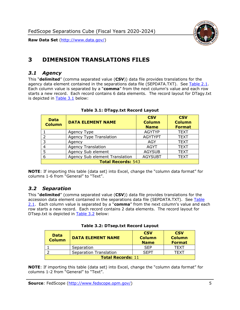

# <span id="page-5-0"></span>**3 DIMENSION TRANSLATIONS FILES**

#### <span id="page-5-1"></span>*3.1 Agency*

This "**delimited**" (comma separated value (**CSV**)) data file provides translations for the agency data element contained in the separations data file (SEPDATA.TXT). See [Table 2.1.](#page-4-0) Each column value is separated by a "**comma**" from the next column's value and each row starts a new record. Each record contains 6 data elements. The record layout for DTagy.txt is depicted in [Table 3.1](#page-5-3) below:

<span id="page-5-3"></span>

| <b>Data</b><br><b>Column</b> | <b>DATA ELEMENT NAME</b>       | <b>CSV</b><br><b>Column</b><br><b>Name</b> | <b>CSV</b><br><b>Column</b><br><b>Format</b> |
|------------------------------|--------------------------------|--------------------------------------------|----------------------------------------------|
|                              | <b>Agency Type</b>             | <b>AGYTYP</b>                              | <b>TEXT</b>                                  |
| 2                            | <b>Agency Type Translation</b> | <b>AGYTYPT</b>                             | <b>TEXT</b>                                  |
| 3                            | Agency                         | AGY                                        | <b>TEXT</b>                                  |
|                              | <b>Agency Translation</b>      | <b>AGYT</b>                                | <b>TEXT</b>                                  |
| 5                            | Agency Sub element             | <b>AGYSUB</b>                              | <b>TEXT</b>                                  |
| 6                            | Agency Sub element Translation | <b>AGYSUBT</b>                             | <b>TEXT</b>                                  |
| <b>Total Records: 543</b>    |                                |                                            |                                              |

#### **Table 3.1: DTagy.txt Record Layout**

**NOTE**: If importing this table (data set) into Excel, change the "column data format" for columns 1-6 from "General" to "Text".

#### <span id="page-5-2"></span>*3.2 Separation*

This "**delimited**" (comma separated value (**CSV**)) data file provides translations for the accession data element contained in the separations data file (SEPDATA.TXT). See [Table](#page-4-0)  [2.1.](#page-4-0) Each column value is separated by a "**comma**" from the next column's value and each row starts a new record. Each record contains 2 data elements. The record layout for DTsep.txt is depicted in [Table 3.2](#page-5-4) below:

<span id="page-5-4"></span>

| <b>Data</b><br><b>Column</b> | <b>DATA ELEMENT NAME</b>      | <b>CSV</b><br><b>Column</b><br><b>Name</b> | <b>CSV</b><br><b>Column</b><br><b>Format</b> |
|------------------------------|-------------------------------|--------------------------------------------|----------------------------------------------|
|                              | Separation                    | <b>SEP</b>                                 | TFXT                                         |
|                              | <b>Separation Translation</b> | <b>SFPT</b>                                | TFXT                                         |
| <b>Total Records: 11</b>     |                               |                                            |                                              |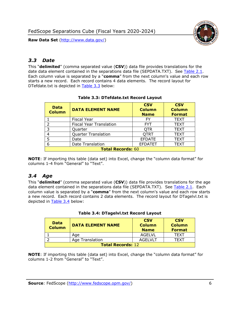

## <span id="page-6-0"></span>*3.3 Date*

This "**delimited**" (comma separated value (**CSV**)) data file provides translations for the date data element contained in the separations data file (SEPDATA.TXT). See [Table 2.1.](#page-4-0) Each column value is separated by a "**comma**" from the next column's value and each row starts a new record. Each record contains 4 data elements. The record layout for DTefdate.txt is depicted in [Table 3.3](#page-6-2) below:

<span id="page-6-2"></span>

| <b>Data</b><br><b>Column</b> | <b>DATA ELEMENT NAME</b>       | <b>CSV</b><br><b>Column</b><br><b>Name</b> | <b>CSV</b><br><b>Column</b><br><b>Format</b> |
|------------------------------|--------------------------------|--------------------------------------------|----------------------------------------------|
|                              | <b>Fiscal Year</b>             | FY                                         | <b>TEXT</b>                                  |
| フ                            | <b>Fiscal Year Translation</b> | <b>FYT</b>                                 | <b>TEXT</b>                                  |
| 3                            | Quarter                        | <b>QTR</b>                                 | <b>TEXT</b>                                  |
|                              | <b>Quarter Translation</b>     | <b>QTRT</b>                                | <b>TEXT</b>                                  |
| 5                            | Date                           | <b>EFDATE</b>                              | <b>TEXT</b>                                  |
| 6                            | Date Translation               | <b>EFDATET</b>                             | TEXT                                         |
| <b>Total Records: 60</b>     |                                |                                            |                                              |

#### **Table 3.3: DTefdate.txt Record Layout**

**NOTE**: If importing this table (data set) into Excel, change the "column data format" for columns 1-4 from "General" to "Text".

## <span id="page-6-1"></span>*3.4 Age*

This "**delimited**" (comma separated value (**CSV**)) data file provides translations for the age data element contained in the separations data file (SEPDATA.TXT). See [Table 2.1.](#page-4-0) Each column value is separated by a "**comma**" from the next column's value and each row starts a new record. Each record contains 2 data elements. The record layout for DTagelvl.txt is depicted in [Table 3.4](#page-6-3) below:

<span id="page-6-3"></span>

| <b>Data</b><br><b>Column</b> | <b>DATA ELEMENT NAME</b> | <b>CSV</b><br><b>Column</b><br><b>Name</b> | <b>CSV</b><br><b>Column</b><br><b>Format</b> |
|------------------------------|--------------------------|--------------------------------------------|----------------------------------------------|
|                              | Age                      | <b>AGELVL</b>                              | <b>TFXT</b>                                  |
|                              | <b>Age Translation</b>   | <b>AGELVLT</b>                             | TFXT                                         |
| <b>Total Records: 12</b>     |                          |                                            |                                              |

#### **Table 3.4: DTagelvl.txt Record Layout**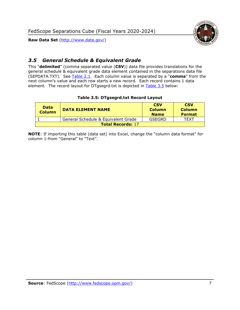

## <span id="page-7-0"></span>*3.5 General Schedule & Equivalent Grade*

This "**delimited**" (comma separated value (**CSV**)) data file provides translations for the general schedule & equivalent grade data element contained in the separations data file (SEPDATA.TXT). See [Table 2.1.](#page-4-0) Each column value is separated by a "**comma**" from the next column's value and each row starts a new record. Each record contains 1 data element. The record layout for DTgsegrd.txt is depicted in [Table 3.5](#page-7-1) below:

#### **Table 3.5: DTgsegrd.txt Record Layout**

<span id="page-7-1"></span>

| <b>Data</b><br><b>Column</b> | <b>DATA ELEMENT NAME</b>            | <b>CSV</b><br><b>Column</b><br><b>Name</b> | <b>CSV</b><br><b>Column</b><br><b>Format</b> |
|------------------------------|-------------------------------------|--------------------------------------------|----------------------------------------------|
|                              | General Schedule & Equivalent Grade | GSEGRD                                     | TFXT                                         |
| <b>Total Records: 17</b>     |                                     |                                            |                                              |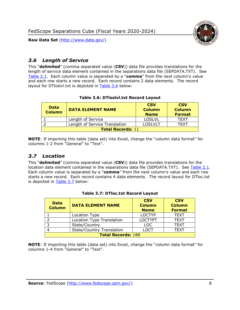

## <span id="page-8-0"></span>*3.6 Length of Service*

This "**delimited**" (comma separated value (**CSV**)) data file provides translations for the length of service data element contained in the separations data file (SEPDATA.TXT). See [Table 2.1.](#page-4-0) Each column value is separated by a "**comma**" from the next column's value and each row starts a new record. Each record contains 2 data elements. The record layout for DTloslvl.txt is depicted in **Table 3.6** below:

#### **Table 3.6: DTloslvl.txt Record Layout**

<span id="page-8-2"></span>

| <b>Data</b><br><b>Column</b> | <b>DATA ELEMENT NAME</b>      | <b>CSV</b><br><b>Column</b><br><b>Name</b> | <b>CSV</b><br><b>Column</b><br><b>Format</b> |
|------------------------------|-------------------------------|--------------------------------------------|----------------------------------------------|
|                              | Length of Service             | <b>LOSLVL</b>                              | TFXT                                         |
|                              | Length of Service Translation | LOSLVLT                                    | TFXT                                         |
| <b>Total Records: 11</b>     |                               |                                            |                                              |

**NOTE**: If importing this table (data set) into Excel, change the "column data format" for columns 1-2 from "General" to "Text".

#### <span id="page-8-1"></span>*3.7 Location*

This "**delimited**" (comma separated value (**CSV**)) data file provides translations for the location data element contained in the separations data file (SEPDATA.TXT). See [Table 2.1.](#page-4-0) Each column value is separated by a "**comma**" from the next column's value and each row starts a new record. Each record contains 4 data elements. The record layout for DTloc.txt is depicted in [Table 3.7](#page-8-3) below:

<span id="page-8-3"></span>

| <b>Data</b><br><b>Column</b> | <b>DATA ELEMENT NAME</b>         | <b>CSV</b><br><b>Column</b><br><b>Name</b> | <b>CSV</b><br><b>Column</b><br><b>Format</b> |
|------------------------------|----------------------------------|--------------------------------------------|----------------------------------------------|
|                              | Location Type                    | <b>LOCTYP</b>                              | <b>TEXT</b>                                  |
|                              | Location Type Translation        | <b>LOCTYPT</b>                             | <b>TEXT</b>                                  |
| ີ                            | State/Country                    | <b>LOC</b>                                 | <b>TEXT</b>                                  |
|                              | <b>State/Country Translation</b> | LOCT                                       | <b>TEXT</b>                                  |
| <b>Total Records: 188</b>    |                                  |                                            |                                              |

#### **Table 3.7: DTloc.txt Record Layout**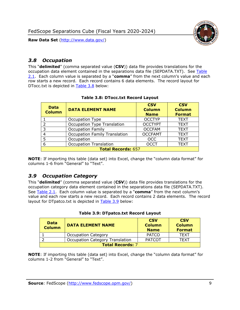



## <span id="page-9-0"></span>*3.8 Occupation*

This "**delimited**" (comma separated value (**CSV**)) data file provides translations for the occupation data element contained in the separations data file (SEPDATA.TXT). See [Table](#page-4-0)  [2.1.](#page-4-0) Each column value is separated by a "**comma**" from the next column's value and each row starts a new record. Each record contains 6 data elements. The record layout for DTocc.txt is depicted in [Table 3.8](#page-9-2) below:

<span id="page-9-2"></span>

| <b>Data</b><br><b>Column</b> | <b>DATA ELEMENT NAME</b>             | <b>CSV</b><br><b>Column</b><br><b>Name</b> | <b>CSV</b><br><b>Column</b><br><b>Format</b> |
|------------------------------|--------------------------------------|--------------------------------------------|----------------------------------------------|
|                              | Occupation Type                      | <b>OCCTYP</b>                              | <b>TEXT</b>                                  |
|                              | <b>Occupation Type Translation</b>   | <b>OCCTYPT</b>                             | <b>TEXT</b>                                  |
|                              | <b>Occupation Family</b>             | <b>OCCFAM</b>                              | <b>TEXT</b>                                  |
|                              | <b>Occupation Family Translation</b> | <b>OCCFAMT</b>                             | <b>TEXT</b>                                  |
|                              | Occupation                           | <b>OCC</b>                                 | <b>TEXT</b>                                  |
|                              | <b>Occupation Translation</b>        | <b>OCCT</b>                                | <b>TEXT</b>                                  |
| <b>Total Records: 657</b>    |                                      |                                            |                                              |

#### **Table 3.8: DTocc.txt Record Layout**

**NOTE**: If importing this table (data set) into Excel, change the "column data format" for columns 1-6 from "General" to "Text".

#### <span id="page-9-1"></span>*3.9 Occupation Category*

This "**delimited**" (comma separated value (**CSV**)) data file provides translations for the occupation category data element contained in the separations data file (SEPDATA.TXT). See [Table 2.1.](#page-4-0) Each column value is separated by a "**comma**" from the next column's value and each row starts a new record. Each record contains 2 data elements. The record layout for DTpatco.txt is depicted in **Table 3.9** below:

<span id="page-9-3"></span>

| Data<br><b>Column</b>   | <b>DATA ELEMENT NAME</b>               | <b>CSV</b><br><b>Column</b><br><b>Name</b> | <b>CSV</b><br><b>Column</b><br><b>Format</b> |
|-------------------------|----------------------------------------|--------------------------------------------|----------------------------------------------|
|                         | <b>Occupation Category</b>             | <b>PATCO</b>                               | <b>TFXT</b>                                  |
|                         | <b>Occupation Category Translation</b> | <b>PATCOT</b>                              | TEXT                                         |
| <b>Total Records: 7</b> |                                        |                                            |                                              |

#### **Table 3.9: DTpatco.txt Record Layout**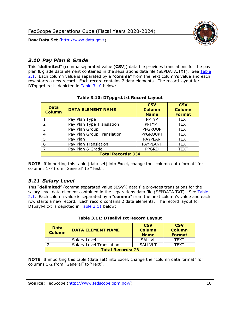

## <span id="page-10-0"></span>*3.10 Pay Plan & Grade*

This "**delimited**" (comma separated value (**CSV**)) data file provides translations for the pay plan & grade data element contained in the separations data file (SEPDATA.TXT). See [Table](#page-4-0)  [2.1.](#page-4-0) Each column value is separated by a "**comma**" from the next column's value and each row starts a new record. Each record contains 7 data elements. The record layout for DTppgrd.txt is depicted in **Table 3.10** below:

<span id="page-10-2"></span>

| <b>Data</b><br><b>Column</b> | <b>DATA ELEMENT NAME</b>   | <b>CSV</b><br><b>Column</b><br><b>Name</b> | <b>CSV</b><br><b>Column</b><br><b>Format</b> |
|------------------------------|----------------------------|--------------------------------------------|----------------------------------------------|
|                              | Pay Plan Type              | <b>PPTYP</b>                               | <b>TEXT</b>                                  |
| $\mathcal{D}$                | Pay Plan Type Translation  | <b>PPTYPT</b>                              | <b>TEXT</b>                                  |
| 3                            | Pay Plan Group             | <b>PPGROUP</b>                             | <b>TEXT</b>                                  |
| 4                            | Pay Plan Group Translation | <b>PPGROUPT</b>                            | <b>TEXT</b>                                  |
| 5                            | Pay Plan                   | <b>PAYPLAN</b>                             | <b>TEXT</b>                                  |
| 6                            | Pay Plan Translation       | PAYPLANT                                   | <b>TEXT</b>                                  |
|                              | Pay Plan & Grade           | <b>PPGRD</b>                               | <b>TEXT</b>                                  |
| <b>Total Records: 954</b>    |                            |                                            |                                              |

#### **Table 3.10: DTppgrd.txt Record Layout**

**NOTE**: If importing this table (data set) into Excel, change the "column data format" for columns 1-7 from "General" to "Text".

## <span id="page-10-1"></span>*3.11 Salary Level*

This "**delimited**" (comma separated value (**CSV**)) data file provides translations for the salary level data element contained in the separations data file (SEPDATA.TXT). See [Table](#page-4-0)  [2.1.](#page-4-0) Each column value is separated by a "**comma**" from the next column's value and each row starts a new record. Each record contains 2 data elements. The record layout for DTpaylvl.txt is depicted in [Table 3.11](#page-10-3) below:

<span id="page-10-3"></span>

| <b>Data</b><br><b>Column</b> | <b>DATA ELEMENT NAME</b>        | <b>CSV</b><br><b>Column</b><br><b>Name</b> | <b>CSV</b><br><b>Column</b><br><b>Format</b> |
|------------------------------|---------------------------------|--------------------------------------------|----------------------------------------------|
|                              | Salary Level                    | <b>SALLVL</b>                              | TFXT                                         |
|                              | <b>Salary Level Translation</b> | SALIVIT                                    | TFXT                                         |
| <b>Total Records: 26</b>     |                                 |                                            |                                              |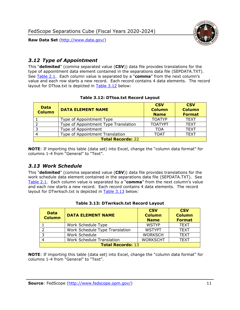

## <span id="page-11-0"></span>*3.12 Type of Appointment*

This "**delimited**" (comma separated value (**CSV**)) data file provides translations for the type of appointment data element contained in the separations data file (SEPDATA.TXT). See [Table 2.1.](#page-4-0) Each column value is separated by a "**comma**" from the next column's value and each row starts a new record. Each record contains 4 data elements. The record layout for DTtoa.txt is depicted in [Table 3.12](#page-11-2) below:

<span id="page-11-2"></span>

| <b>Data</b><br><b>Column</b> | <b>DATA ELEMENT NAME</b>             | <b>CSV</b><br><b>Column</b><br><b>Name</b> | <b>CSV</b><br><b>Column</b><br><b>Format</b> |
|------------------------------|--------------------------------------|--------------------------------------------|----------------------------------------------|
|                              | Type of Appointment Type             | <b>TOATYP</b>                              | <b>TEXT</b>                                  |
|                              | Type of Appointment Type Translation | <b>TOATYPT</b>                             | <b>TEXT</b>                                  |
| 3                            | Type of Appointment                  | TOA                                        | <b>TEXT</b>                                  |
| 4                            | Type of Appointment Translation      | <b>TOAT</b>                                | <b>TEXT</b>                                  |
| <b>Total Records: 22</b>     |                                      |                                            |                                              |

#### **Table 3.12: DTtoa.txt Record Layout**

**NOTE**: If importing this table (data set) into Excel, change the "column data format" for columns 1-4 from "General" to "Text".

#### <span id="page-11-1"></span>*3.13 Work Schedule*

This "**delimited**" (comma separated value (**CSV**)) data file provides translations for the work schedule data element contained in the separations data file (SEPDATA.TXT). See [Table](#page-4-0) 2.1. Each column value is separated by a "**comma**" from the next column's value and each row starts a new record. Each record contains 4 data elements. The record layout for DTwrksch.txt is depicted in [Table 3.13](#page-11-3) below:

<span id="page-11-3"></span>

| <b>Data</b><br><b>Column</b> | <b>DATA ELEMENT NAME</b>       | <b>CSV</b><br><b>Column</b><br><b>Name</b> | <b>CSV</b><br><b>Column</b><br><b>Format</b> |
|------------------------------|--------------------------------|--------------------------------------------|----------------------------------------------|
|                              | Work Schedule Type             | <b>WSTYP</b>                               | <b>TEXT</b>                                  |
|                              | Work Schedule Type Translation | <b>WSTYPT</b>                              | <b>TEXT</b>                                  |
|                              | Work Schedule                  | <b>WORKSCH</b>                             | <b>TEXT</b>                                  |
|                              | Work Schedule Translation      | <b>WORKSCHT</b>                            | <b>TEXT</b>                                  |
| <b>Total Records: 13</b>     |                                |                                            |                                              |

#### **Table 3.13: DTwrksch.txt Record Layout**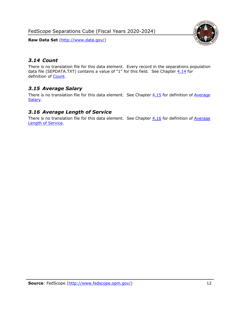FedScope Separations Cube (Fiscal Years 2020-2024)

**Raw Data Set** (http://www.data.gov/)



## <span id="page-12-0"></span>*3.14 Count*

There is no translation file for this data element. Every record in the separations population data file (SEPDATA.TXT) contains a value of "1" for this field. See Chapter  $4.14$  for definition of [Count.](#page-16-2)

## <span id="page-12-1"></span>*3.15 Average Salary*

There is no translation file for this data element. See Chapter  $4.15$  for definition of Average **Salary** 

### <span id="page-12-2"></span>*3.16 Average Length of Service*

There is no translation file for this data element. See Chapter  $4.16$  for definition of Average [Length of Service.](#page-16-4)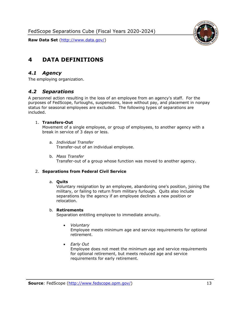



## <span id="page-13-0"></span>**4 DATA DEFINITIONS**

#### <span id="page-13-1"></span>*4.1 Agency*

<span id="page-13-2"></span>The employing organization.

#### *4.2 Separations*

A personnel action resulting in the loss of an employee from an agency's staff. For the purposes of FedScope, furloughs, suspensions, leave without pay, and placement in nonpay status for seasonal employees are excluded. The following types of separations are included.

#### 1. **Transfers-Out**

Movement of a single employee, or group of employees, to another agency with a break in service of 3 days or less.

- a. *Individual Transfer* Transfer-out of an individual employee.
- b. *Mass Transfer* Transfer-out of a group whose function was moved to another agency.

#### 2. **Separations from Federal Civil Service**

#### a. **Quits**

Voluntary resignation by an employee, abandoning one's position, joining the military, or failing to return from military furlough. Quits also include separations by the agency if an employee declines a new position or relocation.

#### b. **Retirements**

Separation entitling employee to immediate annuity.

• *Voluntary*

Employee meets minimum age and service requirements for optional retirement.

• *Early Out*

Employee does not meet the minimum age and service requirements for optional retirement, but meets reduced age and service requirements for early retirement.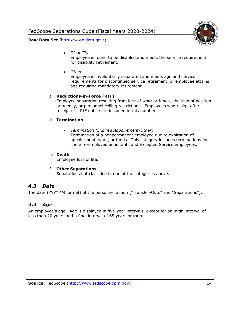

• *Disability*

Employee is found to be disabled and meets the service requirement for disability retirement.

• *Other*

Employee is involuntarily separated and meets age and service requirements for discontinued service retirement, or employee attains age requiring mandatory retirement.

#### c. **Reductions-in-Force (RIF)**

Employee separation resulting from lack of work or funds, abolition of position or agency, or personnel ceiling restrictions. Employees who resign after receipt of a RIF notice are included in this number.

#### d. **Termination**

• *Termination (Expired Appointment/Other)* Termination of a nonpermanent employee due to expiration of appointment, work, or funds. This category includes terminations for some re-employed annuitants and Excepted Service employees.

#### e. **Death**

Employee loss of life.

#### f. **Other Separations**

Separations not classified in one of the categories above.

#### <span id="page-14-0"></span>*4.3 Date*

<span id="page-14-1"></span>The date (YYYYMM format) of the personnel action ("Transfer-Outs" and "Separations").

#### *4.4 Age*

An employee's age. Age is displayed in five-year intervals, except for an initial interval of less than 20 years and a final interval of 65 years or more.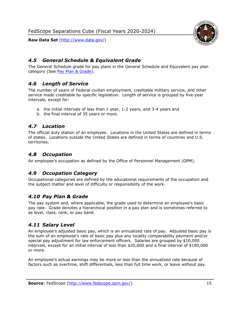

## <span id="page-15-0"></span>*4.5 General Schedule & Equivalent Grade*

The General Schedule grade for pay plans in the General Schedule and Equivalent pay plan category (See [Pay Plan & Grade\)](#page-10-0).

## <span id="page-15-1"></span>*4.6 Length of Service*

The number of years of Federal civilian employment, creditable military service, and other service made creditable by specific legislation. Length of service is grouped by five-year intervals, except for:

- a. the initial intervals of less than 1 year, 1-2 years, and 3-4 years and
- b. the final interval of 35 years or more.

### <span id="page-15-2"></span>*4.7 Location*

The official duty station of an employee. Locations in the United States are defined in terms of states. Locations outside the United States are defined in terms of countries and U.S. territories.

## <span id="page-15-3"></span>*4.8 Occupation*

<span id="page-15-4"></span>An employee's occupation as defined by the Office of Personnel Management (OPM).

## *4.9 Occupation Category*

Occupational categories are defined by the educational requirements of the occupation and the subject matter and level of difficulty or responsibility of the work.

#### <span id="page-15-5"></span>*4.10 Pay Plan & Grade*

The pay system and, where applicable, the grade used to determine an employee's basic pay rate. Grade denotes a hierarchical position in a pay plan and is sometimes referred to as level, class, rank, or pay band.

## <span id="page-15-6"></span>*4.11 Salary Level*

An employee's adjusted basic pay, which is an annualized rate of pay. Adjusted basic pay is the sum of an employee's rate of basic pay plus any locality comparability payment and/or special pay adjustment for law enforcement officers. Salaries are grouped by \$10,000 intervals, except for an initial interval of less than \$20,000 and a final interval of \$180,000 or more.

An employee's actual earnings may be more or less than the annualized rate because of factors such as overtime, shift differentials, less than full time work, or leave without pay.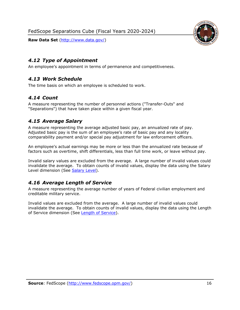

### <span id="page-16-0"></span>*4.12 Type of Appointment*

<span id="page-16-1"></span>An employee's appointment in terms of permanence and competitiveness.

### *4.13 Work Schedule*

<span id="page-16-2"></span>The time basis on which an employee is scheduled to work.

### *4.14 Count*

A measure representing the number of personnel actions ("Transfer-Outs" and "Separations") that have taken place within a given fiscal year.

### <span id="page-16-3"></span>*4.15 Average Salary*

A measure representing the average adjusted basic pay, an annualized rate of pay. Adjusted basic pay is the sum of an employee's rate of basic pay and any locality comparability payment and/or special pay adjustment for law enforcement officers.

An employee's actual earnings may be more or less than the annualized rate because of factors such as overtime, shift differentials, less than full time work, or leave without pay.

Invalid salary values are excluded from the average. A large number of invalid values could invalidate the average. To obtain counts of invalid values, display the data using the Salary Level dimension (See [Salary Level\)](#page-15-6).

## <span id="page-16-4"></span>*4.16 Average Length of Service*

A measure representing the average number of years of Federal civilian employment and creditable military service.

Invalid values are excluded from the average. A large number of invalid values could invalidate the average. To obtain counts of invalid values, display the data using the Length of Service dimension (See [Length of Service\)](#page-8-0).